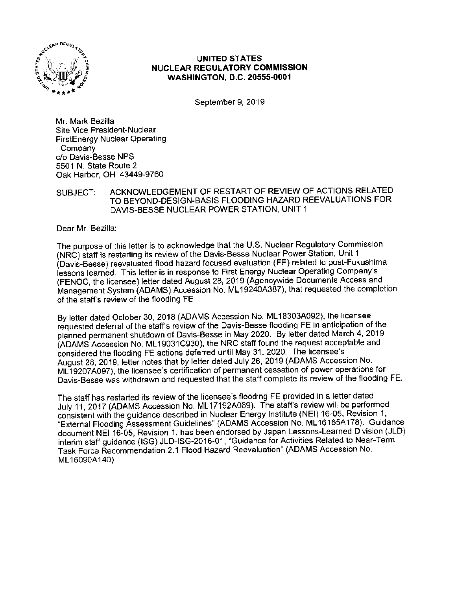

## **UNITED STATES NUCLEAR REGULATORY COMMISSION WASHINGTON, D.C. 20555-0001**

September 9, 2019

Mr. Mark Bezilla Site Vice President-Nuclear FirstEnergy Nuclear Operating Company c/o Davis-Besse NPS 5501 N. State Route 2 Oak Harbor, OH 43449-9760

## SUBJECT: ACKNOWLEDGEMENT OF RESTART OF REVIEW OF ACTIONS RELATED TO BEYOND-DESIGN-BASIS FLOODING HAZARD REEVALUATIONS FOR DAVIS-BESSE NUCLEAR POWER STATION, UNIT 1

Dear Mr. Bezilla:

The purpose of this letter is to acknowledge that the U.S. Nuclear Regulatory Commission (NRC) staff is restarting its review of the Davis-Besse Nuclear Power Station, Unit 1 (Davis-Besse) reevaluated flood hazard focused evaluation (FE) related to post-Fukushima lessons learned. This letter is in response to First Energy Nuclear Operating Company's (FENOC, the licensee) letter dated August 28, 2019 (Agencywide Documents Access and Management System {ADAMS) Accession No. ML19240A387), that requested the completion of the staffs review of the flooding FE.

By letter dated October 30, 2018 (ADAMS Accession No. ML 18303A092), the licensee requested deferral of the staff's review of the Davis-Besse flooding FE in anticipation of the planned permanent shutdown of Davis-Besse in May 2020. By letter dated March 4, 2019 (ADAMS Accession No. ML 19031C930), the NRG staff found the request acceptable and considered the flooding FE actions deferred until May 31, 2020. The licensee's August 28, 2019, letter notes that by letter dated July 26, 2019 (ADAMS Accession No. ML 19207A097), the licensee's certification of permanent cessation of power operations for Davis-Besse was withdrawn and requested that the staff complete its review of the flooding FE.

The staff has restarted its review of the licensee's flooding FE provided in a letter dated July 11, 2017 (ADAMS Accession No. ML 17192A069). The staffs review will be performed consistent with the guidance described in Nuclear Energy Institute (NEI) 16-05, Revision 1, ~External Flooding Assessment Guidelines" (ADAMS Accession No. ML 16165A178). Guidance document NEI 16-05, Revision 1, has been endorsed by Japan Lessons-Learned Division (JLD) interim staff guidance (ISG) JLD-ISG-2016-01, "Guidance for Activities Related to Near-Term Task Force Recommendation 2.1 Flood Hazard Reevaluation" (ADAMS Accession No. ML 16090A140).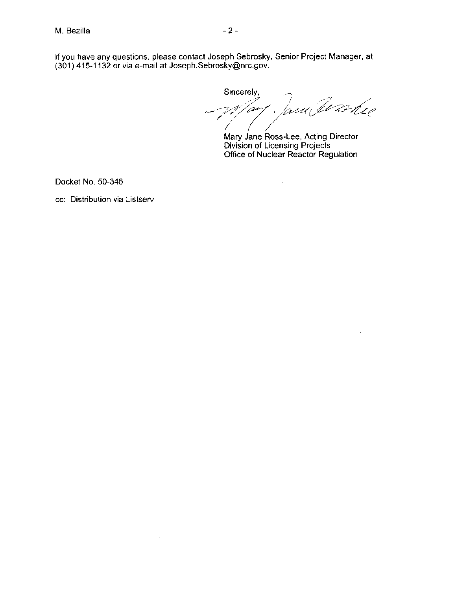If you have any questions, please contact Joseph Sebrosky, Senior Project Manager, at (301) 415-1132 or via e-mail at Joseph.Sebrosky@nrc.gov.

Sincerely, ...<br>Way Jaw Wane

Mary Jane Ross-Lee, Acting Director Division of Licensing Projects Office of Nuclear Reactor Regulation

 $\sim$ 

Docket No. 50-346

cc: Distribution via Listserv